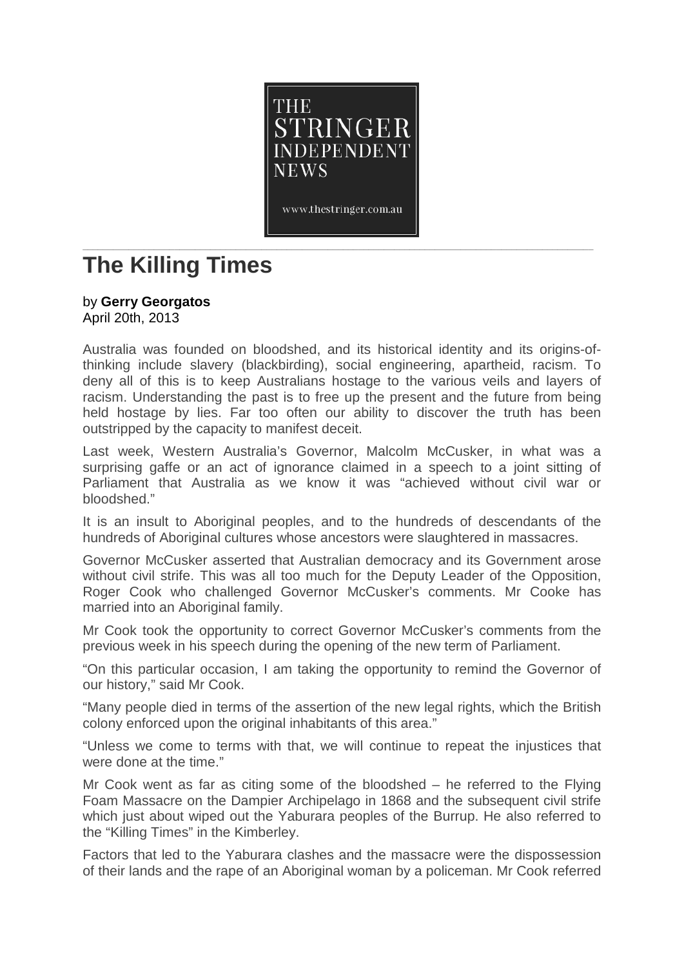

www.thestringer.com.au

## **\_\_\_\_\_\_\_\_\_\_\_\_\_\_\_\_\_\_\_\_\_\_\_\_\_\_\_\_\_\_\_\_\_\_\_\_\_\_\_\_\_\_\_\_\_\_\_\_\_\_\_\_\_\_\_\_\_\_\_\_\_\_\_\_\_\_\_\_\_\_\_\_\_\_\_\_\_\_\_\_\_\_\_\_\_\_\_\_\_\_\_\_\_\_\_\_\_\_\_\_ The Killing Times**

## by **Gerry [Georgatos](http://thestringer.com.au/author/gerry)**

April 20th, 2013

Australia was founded on bloodshed, and its historical identity and its origins-ofthinking include slavery (blackbirding), social engineering, apartheid, racism. To deny all of this is to keep Australians hostage to the various veils and layers of racism. Understanding the past is to free up the present and the future from being held hostage by lies. Far too often our ability to discover the truth has been outstripped by the capacity to manifest deceit.

Last week, Western Australia's Governor, Malcolm McCusker, in what was a surprising gaffe or an act of ignorance claimed in a speech to a joint sitting of Parliament that Australia as we know it was "achieved without civil war or bloodshed."

It is an insult to Aboriginal peoples, and to the hundreds of descendants of the hundreds of Aboriginal cultures whose ancestors were slaughtered in massacres.

Governor McCusker asserted that Australian democracy and its Government arose without civil strife. This was all too much for the Deputy Leader of the Opposition, Roger Cook who challenged Governor McCusker's comments. Mr Cooke has married into an Aboriginal family.

Mr Cook took the opportunity to correct Governor McCusker's comments from the previous week in his speech during the opening of the new term of Parliament.

"On this particular occasion, I am taking the opportunity to remind the Governor of our history," said Mr Cook.

"Many people died in terms of the assertion of the new legal rights, which the British colony enforced upon the original inhabitants of this area."

"Unless we come to terms with that, we will continue to repeat the injustices that were done at the time."

Mr Cook went as far as citing some of the bloodshed – he referred to the Flying Foam Massacre on the Dampier Archipelago in 1868 and the subsequent civil strife which just about wiped out the Yaburara peoples of the Burrup. He also referred to the "Killing Times" in the Kimberley.

Factors that led to the Yaburara clashes and the massacre were the dispossession of their lands and the rape of an Aboriginal woman by a policeman. Mr Cook referred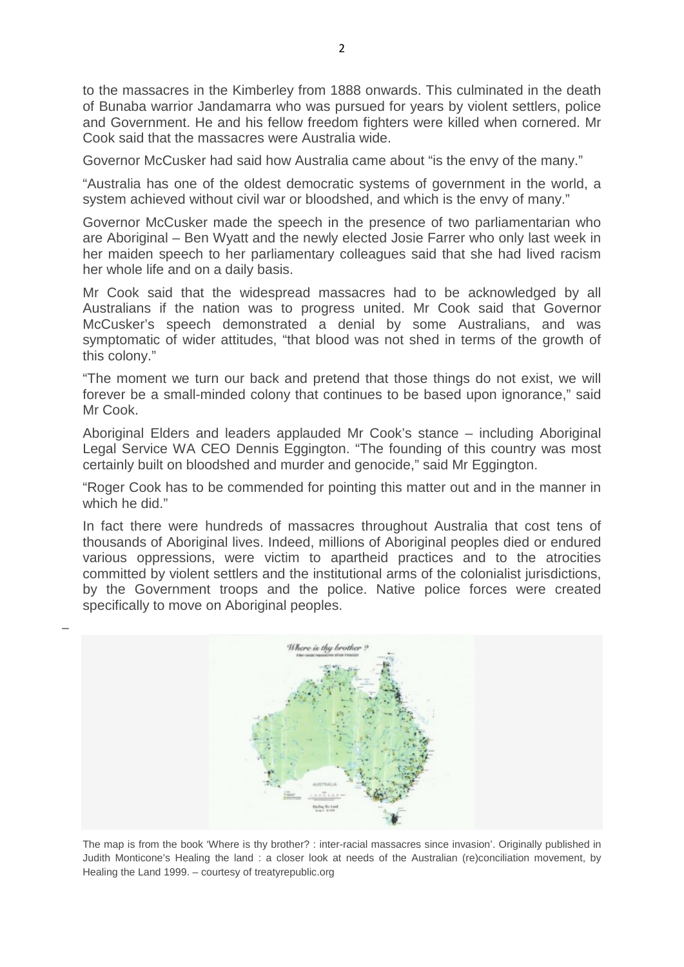to the massacres in the Kimberley from 1888 onwards. This culminated in the death of Bunaba warrior Jandamarra who was pursued for years by violent settlers, police and Government. He and his fellow freedom fighters were killed when cornered. Mr Cook said that the massacres were Australia wide.

Governor McCusker had said how Australia came about "is the envy of the many."

"Australia has one of the oldest democratic systems of government in the world, a system achieved without civil war or bloodshed, and which is the envy of many."

Governor McCusker made the speech in the presence of two parliamentarian who are Aboriginal – Ben Wyatt and the newly elected Josie Farrer who only last week in her maiden speech to her parliamentary colleagues said that she had lived racism her whole life and on a daily basis.

Mr Cook said that the widespread massacres had to be acknowledged by all Australians if the nation was to progress united. Mr Cook said that Governor McCusker's speech demonstrated a denial by some Australians, and was symptomatic of wider attitudes, "that blood was not shed in terms of the growth of this colony."

"The moment we turn our back and pretend that those things do not exist, we will forever be a small-minded colony that continues to be based upon ignorance," said Mr Cook.

Aboriginal Elders and leaders applauded Mr Cook's stance – including Aboriginal Legal Service WA CEO Dennis Eggington. "The founding of this country was most certainly built on bloodshed and murder and genocide," said Mr Eggington.

"Roger Cook has to be commended for pointing this matter out and in the manner in which he did."

In fact there were hundreds of massacres throughout Australia that cost tens of thousands of Aboriginal lives. Indeed, millions of Aboriginal peoples died or endured various oppressions, were victim to apartheid practices and to the atrocities committed by violent settlers and the institutional arms of the colonialist jurisdictions, by the Government troops and the police. Native police forces were created specifically to move on Aboriginal peoples.



The map is from the book 'Where is thy brother? : inter-racial massacres since invasion'. Originally published in Judith Monticone's Healing the land : a closer look at needs of the Australian (re)conciliation movement, by Healing the Land 1999. – courtesy of treatyrepublic.org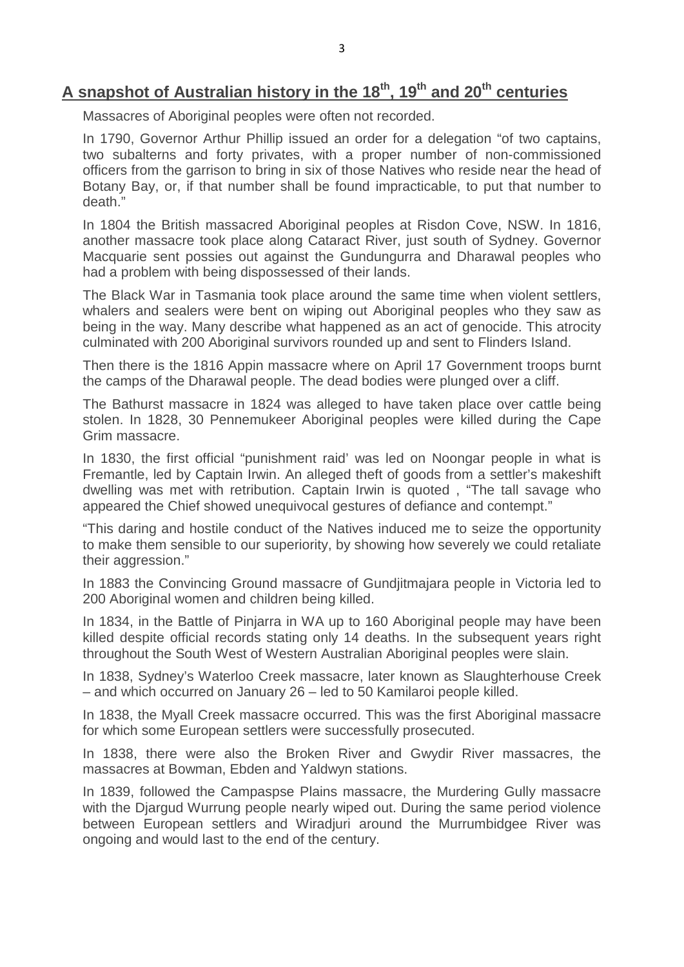## **A snapshot of Australian history in the 18th, 19th and 20th centuries**

Massacres of Aboriginal peoples were often not recorded.

In 1790, Governor Arthur Phillip issued an order for a delegation "of two captains, two subalterns and forty privates, with a proper number of non-commissioned officers from the garrison to bring in six of those Natives who reside near the head of Botany Bay, or, if that number shall be found impracticable, to put that number to death."

In 1804 the British massacred Aboriginal peoples at Risdon Cove, NSW. In 1816, another massacre took place along Cataract River, just south of Sydney. Governor Macquarie sent possies out against the Gundungurra and Dharawal peoples who had a problem with being dispossessed of their lands.

The Black War in Tasmania took place around the same time when violent settlers, whalers and sealers were bent on wiping out Aboriginal peoples who they saw as being in the way. Many describe what happened as an act of genocide. This atrocity culminated with 200 Aboriginal survivors rounded up and sent to Flinders Island.

Then there is the 1816 Appin massacre where on April 17 Government troops burnt the camps of the Dharawal people. The dead bodies were plunged over a cliff.

The Bathurst massacre in 1824 was alleged to have taken place over cattle being stolen. In 1828, 30 Pennemukeer Aboriginal peoples were killed during the Cape Grim massacre.

In 1830, the first official "punishment raid' was led on Noongar people in what is Fremantle, led by Captain Irwin. An alleged theft of goods from a settler's makeshift dwelling was met with retribution. Captain Irwin is quoted , "The tall savage who appeared the Chief showed unequivocal gestures of defiance and contempt."

"This daring and hostile conduct of the Natives induced me to seize the opportunity to make them sensible to our superiority, by showing how severely we could retaliate their aggression."

In 1883 the Convincing Ground massacre of Gundjitmajara people in Victoria led to 200 Aboriginal women and children being killed.

In 1834, in the Battle of Pinjarra in WA up to 160 Aboriginal people may have been killed despite official records stating only 14 deaths. In the subsequent years right throughout the South West of Western Australian Aboriginal peoples were slain.

In 1838, Sydney's Waterloo Creek massacre, later known as Slaughterhouse Creek – and which occurred on January 26 – led to 50 Kamilaroi people killed.

In 1838, the Myall Creek massacre occurred. This was the first Aboriginal massacre for which some European settlers were successfully prosecuted.

In 1838, there were also the Broken River and Gwydir River massacres, the massacres at Bowman, Ebden and Yaldwyn stations.

In 1839, followed the Campaspse Plains massacre, the Murdering Gully massacre with the Djargud Wurrung people nearly wiped out. During the same period violence between European settlers and Wiradjuri around the Murrumbidgee River was ongoing and would last to the end of the century.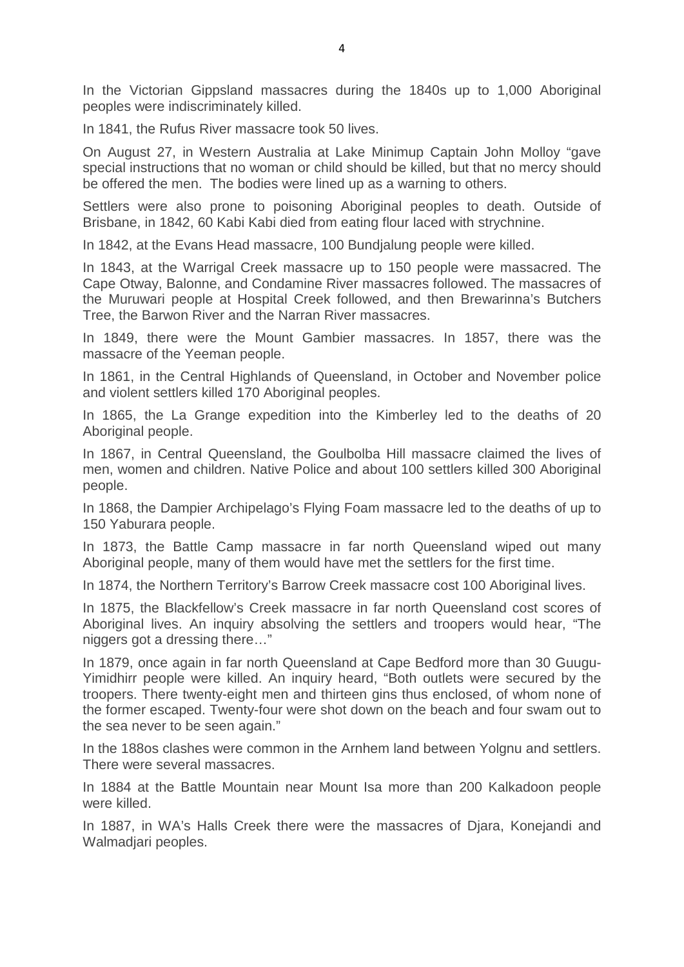In the Victorian Gippsland massacres during the 1840s up to 1,000 Aboriginal peoples were indiscriminately killed.

In 1841, the Rufus River massacre took 50 lives.

On August 27, in Western Australia at Lake Minimup Captain John Molloy "gave special instructions that no woman or child should be killed, but that no mercy should be offered the men. The bodies were lined up as a warning to others.

Settlers were also prone to poisoning Aboriginal peoples to death. Outside of Brisbane, in 1842, 60 Kabi Kabi died from eating flour laced with strychnine.

In 1842, at the Evans Head massacre, 100 Bundjalung people were killed.

In 1843, at the Warrigal Creek massacre up to 150 people were massacred. The Cape Otway, Balonne, and Condamine River massacres followed. The massacres of the Muruwari people at Hospital Creek followed, and then Brewarinna's Butchers Tree, the Barwon River and the Narran River massacres.

In 1849, there were the Mount Gambier massacres. In 1857, there was the massacre of the Yeeman people.

In 1861, in the Central Highlands of Queensland, in October and November police and violent settlers killed 170 Aboriginal peoples.

In 1865, the La Grange expedition into the Kimberley led to the deaths of 20 Aboriginal people.

In 1867, in Central Queensland, the Goulbolba Hill massacre claimed the lives of men, women and children. Native Police and about 100 settlers killed 300 Aboriginal people.

In 1868, the Dampier Archipelago's Flying Foam massacre led to the deaths of up to 150 Yaburara people.

In 1873, the Battle Camp massacre in far north Queensland wiped out many Aboriginal people, many of them would have met the settlers for the first time.

In 1874, the Northern Territory's Barrow Creek massacre cost 100 Aboriginal lives.

In 1875, the Blackfellow's Creek massacre in far north Queensland cost scores of Aboriginal lives. An inquiry absolving the settlers and troopers would hear, "The niggers got a dressing there…"

In 1879, once again in far north Queensland at Cape Bedford more than 30 Guugu-Yimidhirr people were killed. An inquiry heard, "Both outlets were secured by the troopers. There twenty-eight men and thirteen gins thus enclosed, of whom none of the former escaped. Twenty-four were shot down on the beach and four swam out to the sea never to be seen again."

In the 188os clashes were common in the Arnhem land between Yolgnu and settlers. There were several massacres.

In 1884 at the Battle Mountain near Mount Isa more than 200 Kalkadoon people were killed.

In 1887, in WA's Halls Creek there were the massacres of Djara, Konejandi and Walmadjari peoples.